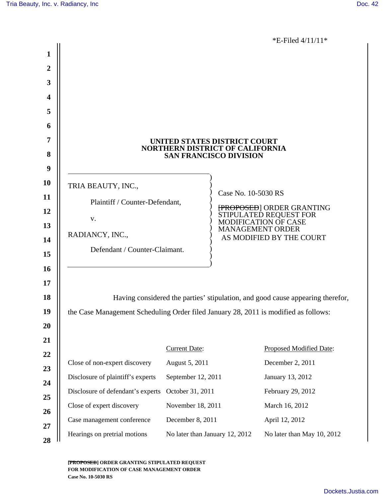\*E-Filed 4/11/11\*

|                  |                                                                                     |                                |                         | L-1 1100 + 11 1 1 1                            |  |  |
|------------------|-------------------------------------------------------------------------------------|--------------------------------|-------------------------|------------------------------------------------|--|--|
| 1                |                                                                                     |                                |                         |                                                |  |  |
| $\boldsymbol{2}$ |                                                                                     |                                |                         |                                                |  |  |
| 3                |                                                                                     |                                |                         |                                                |  |  |
| 4                |                                                                                     |                                |                         |                                                |  |  |
| 5                |                                                                                     |                                |                         |                                                |  |  |
| 6                |                                                                                     |                                |                         |                                                |  |  |
| 7                | UNITED STATES DISTRICT COURT                                                        |                                |                         |                                                |  |  |
| 8                | NORTHERN DISTRICT OF CALIFORNIA<br><b>SAN FRANCISCO DIVISION</b>                    |                                |                         |                                                |  |  |
| 9                |                                                                                     |                                |                         |                                                |  |  |
| <b>10</b>        | TRIA BEAUTY, INC.,                                                                  |                                | Case No. 10-5030 RS     |                                                |  |  |
| 11               | Plaintiff / Counter-Defendant,                                                      | [PROPOSED] ORDER GRANTING      |                         |                                                |  |  |
| 12               | V.                                                                                  |                                |                         | STIPULATED REQUEST FOR<br>MODIFICATION OF CASE |  |  |
| 13               | RADIANCY, INC.,                                                                     |                                | <b>MANAGEMENT ORDER</b> | AS MODIFIED BY THE COURT                       |  |  |
| 14               | Defendant / Counter-Claimant.                                                       |                                |                         |                                                |  |  |
| 15               |                                                                                     |                                |                         |                                                |  |  |
| <b>16</b>        |                                                                                     |                                |                         |                                                |  |  |
| 17               |                                                                                     |                                |                         |                                                |  |  |
| 18               | Having considered the parties' stipulation, and good cause appearing therefor,      |                                |                         |                                                |  |  |
| 19               | the Case Management Scheduling Order filed January 28, 2011 is modified as follows: |                                |                         |                                                |  |  |
| <b>20</b>        |                                                                                     |                                |                         |                                                |  |  |
| 21               |                                                                                     | <b>Current Date:</b>           |                         | Proposed Modified Date:                        |  |  |
| 22<br>23         | Close of non-expert discovery                                                       | August 5, 2011                 |                         | December 2, 2011                               |  |  |
| 24               | Disclosure of plaintiff's experts                                                   | September 12, 2011             |                         | January 13, 2012                               |  |  |
| 25               | Disclosure of defendant's experts                                                   | October 31, 2011               |                         | February 29, 2012                              |  |  |
| 26               | Close of expert discovery                                                           | November 18, 2011              |                         | March 16, 2012                                 |  |  |
| 27               | Case management conference                                                          | December 8, 2011               |                         | April 12, 2012                                 |  |  |
| 28               | Hearings on pretrial motions                                                        | No later than January 12, 2012 |                         | No later than May 10, 2012                     |  |  |
|                  |                                                                                     |                                |                         |                                                |  |  |

**[PROPOSED] ORDER GRANTING STIPULATED REQUEST FOR MODIFICATION OF CASE MANAGEMENT ORDER Case No. 10-5030 RS**